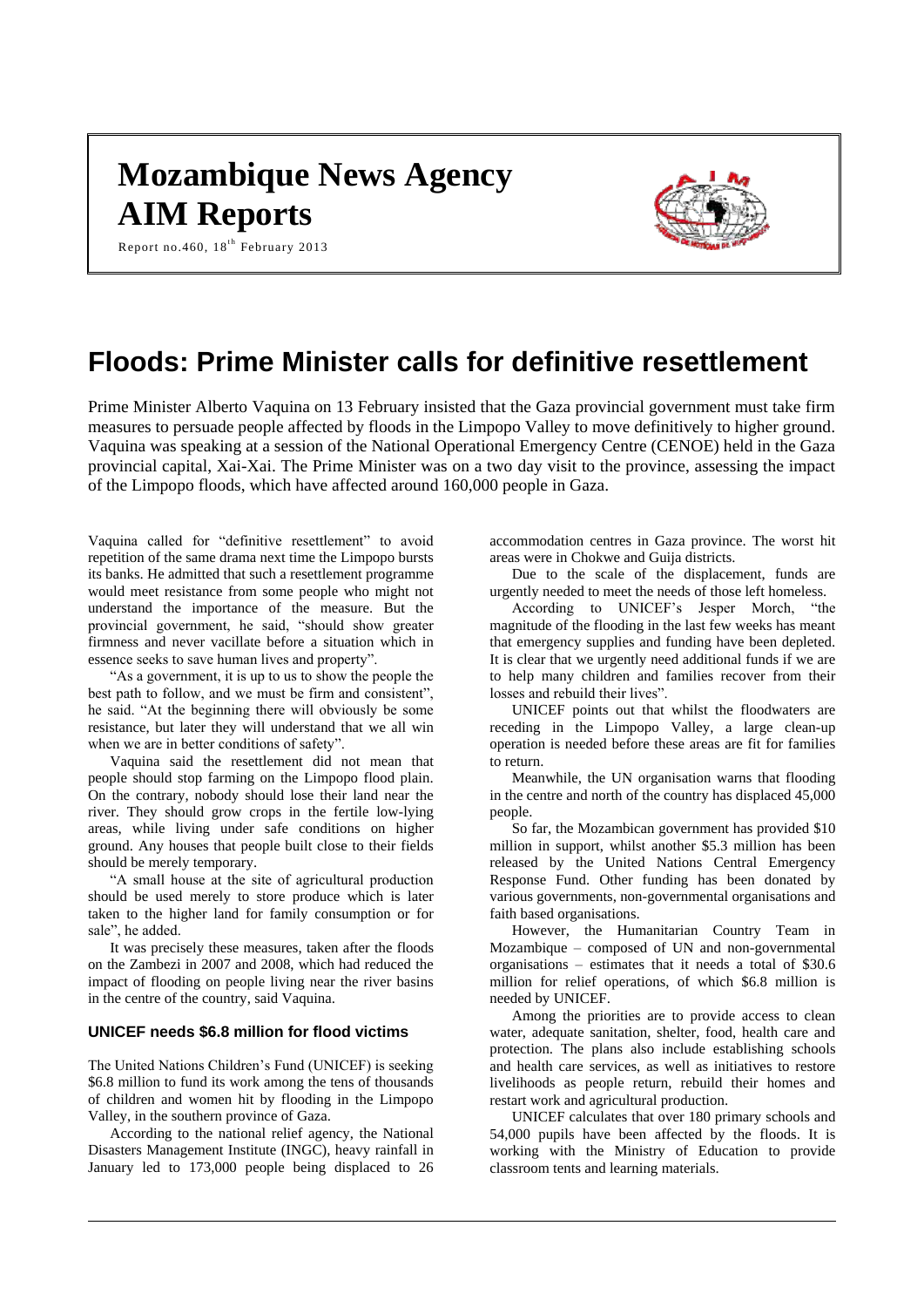# **Mozambique News Agency AIM Reports**



Report no.460,  $18^{th}$  February 2013

# **Floods: Prime Minister calls for definitive resettlement**

Prime Minister Alberto Vaquina on 13 February insisted that the Gaza provincial government must take firm measures to persuade people affected by floods in the Limpopo Valley to move definitively to higher ground. Vaquina was speaking at a session of the National Operational Emergency Centre (CENOE) held in the Gaza provincial capital, Xai-Xai. The Prime Minister was on a two day visit to the province, assessing the impact of the Limpopo floods, which have affected around 160,000 people in Gaza.

Vaquina called for "definitive resettlement" to avoid repetition of the same drama next time the Limpopo bursts its banks. He admitted that such a resettlement programme would meet resistance from some people who might not understand the importance of the measure. But the provincial government, he said, "should show greater firmness and never vacillate before a situation which in essence seeks to save human lives and property".

"As a government, it is up to us to show the people the best path to follow, and we must be firm and consistent", he said. "At the beginning there will obviously be some resistance, but later they will understand that we all win when we are in better conditions of safety".

Vaquina said the resettlement did not mean that people should stop farming on the Limpopo flood plain. On the contrary, nobody should lose their land near the river. They should grow crops in the fertile low-lying areas, while living under safe conditions on higher ground. Any houses that people built close to their fields should be merely temporary.

"A small house at the site of agricultural production should be used merely to store produce which is later taken to the higher land for family consumption or for sale", he added.

It was precisely these measures, taken after the floods on the Zambezi in 2007 and 2008, which had reduced the impact of flooding on people living near the river basins in the centre of the country, said Vaquina.

# **UNICEF needs \$6.8 million for flood victims**

The United Nations Children's Fund (UNICEF) is seeking \$6.8 million to fund its work among the tens of thousands of children and women hit by flooding in the Limpopo Valley, in the southern province of Gaza.

According to the national relief agency, the National Disasters Management Institute (INGC), heavy rainfall in January led to 173,000 people being displaced to 26 accommodation centres in Gaza province. The worst hit areas were in Chokwe and Guija districts.

Due to the scale of the displacement, funds are urgently needed to meet the needs of those left homeless.

According to UNICEF's Jesper Morch, "the magnitude of the flooding in the last few weeks has meant that emergency supplies and funding have been depleted. It is clear that we urgently need additional funds if we are to help many children and families recover from their losses and rebuild their lives".

UNICEF points out that whilst the floodwaters are receding in the Limpopo Valley, a large clean-up operation is needed before these areas are fit for families to return.

Meanwhile, the UN organisation warns that flooding in the centre and north of the country has displaced 45,000 people.

So far, the Mozambican government has provided \$10 million in support, whilst another \$5.3 million has been released by the United Nations Central Emergency Response Fund. Other funding has been donated by various governments, non-governmental organisations and faith based organisations.

However, the Humanitarian Country Team in Mozambique – composed of UN and non-governmental organisations – estimates that it needs a total of \$30.6 million for relief operations, of which \$6.8 million is needed by UNICEF.

Among the priorities are to provide access to clean water, adequate sanitation, shelter, food, health care and protection. The plans also include establishing schools and health care services, as well as initiatives to restore livelihoods as people return, rebuild their homes and restart work and agricultural production.

UNICEF calculates that over 180 primary schools and 54,000 pupils have been affected by the floods. It is working with the Ministry of Education to provide classroom tents and learning materials.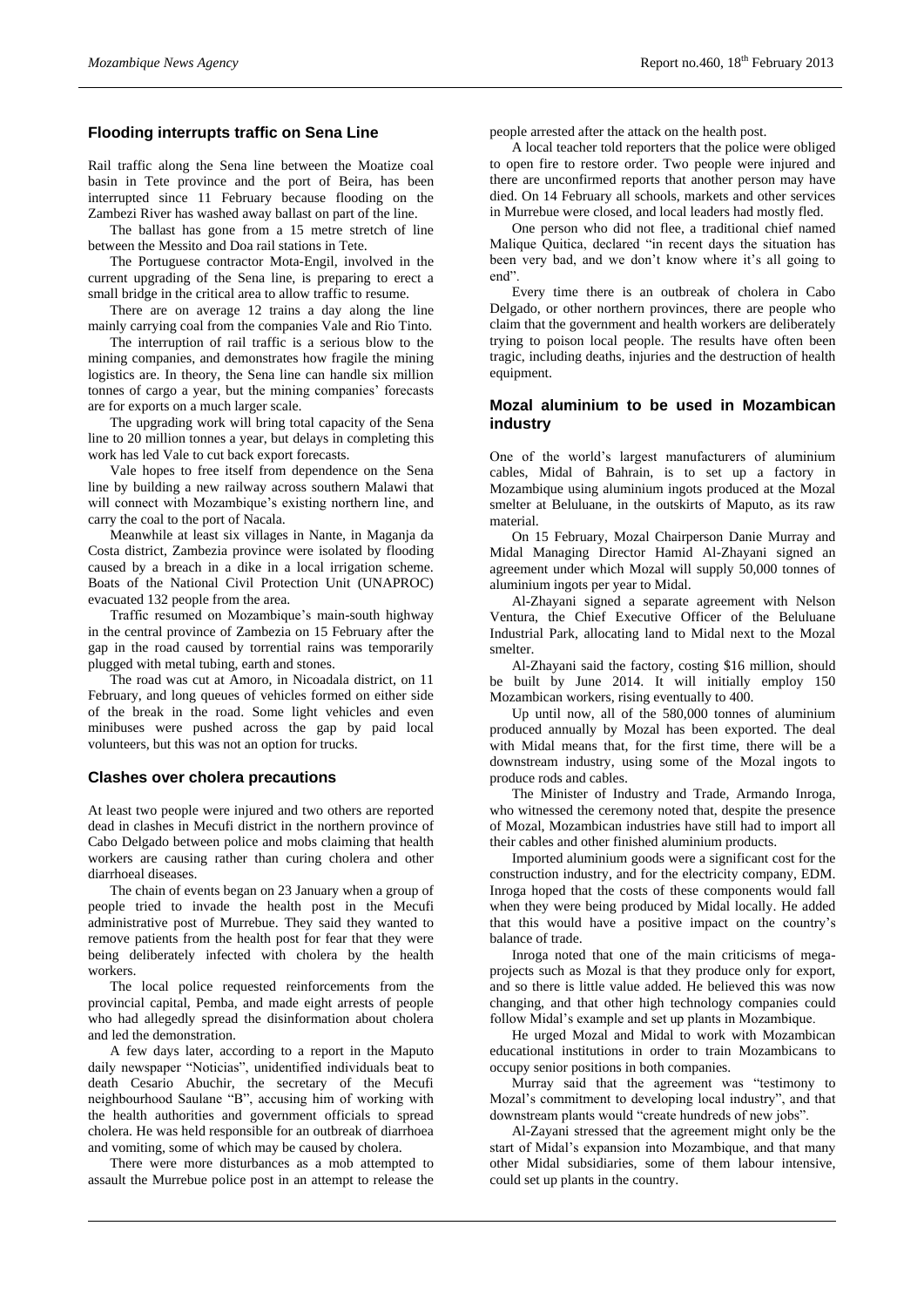# **Flooding interrupts traffic on Sena Line**

Rail traffic along the Sena line between the Moatize coal basin in Tete province and the port of Beira, has been interrupted since 11 February because flooding on the Zambezi River has washed away ballast on part of the line.

The ballast has gone from a 15 metre stretch of line between the Messito and Doa rail stations in Tete.

The Portuguese contractor Mota-Engil, involved in the current upgrading of the Sena line, is preparing to erect a small bridge in the critical area to allow traffic to resume.

There are on average 12 trains a day along the line mainly carrying coal from the companies Vale and Rio Tinto.

The interruption of rail traffic is a serious blow to the mining companies, and demonstrates how fragile the mining logistics are. In theory, the Sena line can handle six million tonnes of cargo a year, but the mining companies' forecasts are for exports on a much larger scale.

The upgrading work will bring total capacity of the Sena line to 20 million tonnes a year, but delays in completing this work has led Vale to cut back export forecasts.

Vale hopes to free itself from dependence on the Sena line by building a new railway across southern Malawi that will connect with Mozambique's existing northern line, and carry the coal to the port of Nacala.

Meanwhile at least six villages in Nante, in Maganja da Costa district, Zambezia province were isolated by flooding caused by a breach in a dike in a local irrigation scheme. Boats of the National Civil Protection Unit (UNAPROC) evacuated 132 people from the area.

Traffic resumed on Mozambique's main-south highway in the central province of Zambezia on 15 February after the gap in the road caused by torrential rains was temporarily plugged with metal tubing, earth and stones.

The road was cut at Amoro, in Nicoadala district, on 11 February, and long queues of vehicles formed on either side of the break in the road. Some light vehicles and even minibuses were pushed across the gap by paid local volunteers, but this was not an option for trucks.

#### **Clashes over cholera precautions**

At least two people were injured and two others are reported dead in clashes in Mecufi district in the northern province of Cabo Delgado between police and mobs claiming that health workers are causing rather than curing cholera and other diarrhoeal diseases.

The chain of events began on 23 January when a group of people tried to invade the health post in the Mecufi administrative post of Murrebue. They said they wanted to remove patients from the health post for fear that they were being deliberately infected with cholera by the health workers.

The local police requested reinforcements from the provincial capital, Pemba, and made eight arrests of people who had allegedly spread the disinformation about cholera and led the demonstration.

A few days later, according to a report in the Maputo daily newspaper "Noticias", unidentified individuals beat to death Cesario Abuchir, the secretary of the Mecufi neighbourhood Saulane "B", accusing him of working with the health authorities and government officials to spread cholera. He was held responsible for an outbreak of diarrhoea and vomiting, some of which may be caused by cholera.

There were more disturbances as a mob attempted to assault the Murrebue police post in an attempt to release the

people arrested after the attack on the health post.

A local teacher told reporters that the police were obliged to open fire to restore order. Two people were injured and there are unconfirmed reports that another person may have died. On 14 February all schools, markets and other services in Murrebue were closed, and local leaders had mostly fled.

One person who did not flee, a traditional chief named Malique Quitica, declared "in recent days the situation has been very bad, and we don't know where it's all going to end".

Every time there is an outbreak of cholera in Cabo Delgado, or other northern provinces, there are people who claim that the government and health workers are deliberately trying to poison local people. The results have often been tragic, including deaths, injuries and the destruction of health equipment.

# **Mozal aluminium to be used in Mozambican industry**

One of the world's largest manufacturers of aluminium cables, Midal of Bahrain, is to set up a factory in Mozambique using aluminium ingots produced at the Mozal smelter at Beluluane, in the outskirts of Maputo, as its raw material.

On 15 February, Mozal Chairperson Danie Murray and Midal Managing Director Hamid Al-Zhayani signed an agreement under which Mozal will supply 50,000 tonnes of aluminium ingots per year to Midal.

Al-Zhayani signed a separate agreement with Nelson Ventura, the Chief Executive Officer of the Beluluane Industrial Park, allocating land to Midal next to the Mozal smelter.

Al-Zhayani said the factory, costing \$16 million, should be built by June 2014. It will initially employ 150 Mozambican workers, rising eventually to 400.

Up until now, all of the 580,000 tonnes of aluminium produced annually by Mozal has been exported. The deal with Midal means that, for the first time, there will be a downstream industry, using some of the Mozal ingots to produce rods and cables.

The Minister of Industry and Trade, Armando Inroga, who witnessed the ceremony noted that, despite the presence of Mozal, Mozambican industries have still had to import all their cables and other finished aluminium products.

Imported aluminium goods were a significant cost for the construction industry, and for the electricity company, EDM. Inroga hoped that the costs of these components would fall when they were being produced by Midal locally. He added that this would have a positive impact on the country's balance of trade.

Inroga noted that one of the main criticisms of megaprojects such as Mozal is that they produce only for export, and so there is little value added. He believed this was now changing, and that other high technology companies could follow Midal's example and set up plants in Mozambique.

He urged Mozal and Midal to work with Mozambican educational institutions in order to train Mozambicans to occupy senior positions in both companies.

Murray said that the agreement was "testimony to Mozal's commitment to developing local industry", and that downstream plants would "create hundreds of new jobs".

Al-Zayani stressed that the agreement might only be the start of Midal's expansion into Mozambique, and that many other Midal subsidiaries, some of them labour intensive, could set up plants in the country.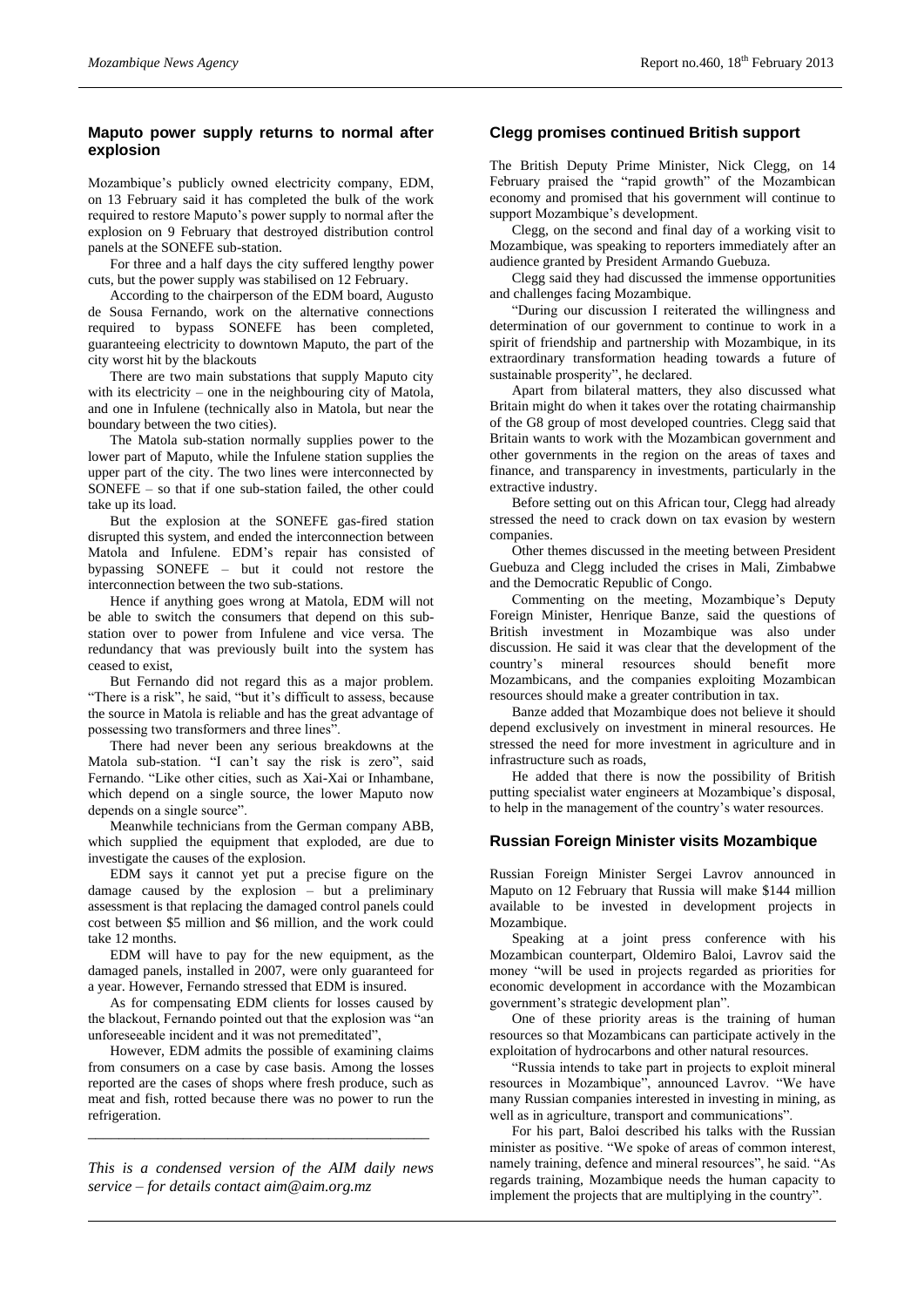# **Maputo power supply returns to normal after explosion**

Mozambique's publicly owned electricity company, EDM, on 13 February said it has completed the bulk of the work required to restore Maputo's power supply to normal after the explosion on 9 February that destroyed distribution control panels at the SONEFE sub-station.

For three and a half days the city suffered lengthy power cuts, but the power supply was stabilised on 12 February.

According to the chairperson of the EDM board, Augusto de Sousa Fernando, work on the alternative connections required to bypass SONEFE has been completed, guaranteeing electricity to downtown Maputo, the part of the city worst hit by the blackouts

There are two main substations that supply Maputo city with its electricity – one in the neighbouring city of Matola, and one in Infulene (technically also in Matola, but near the boundary between the two cities).

The Matola sub-station normally supplies power to the lower part of Maputo, while the Infulene station supplies the upper part of the city. The two lines were interconnected by SONEFE – so that if one sub-station failed, the other could take up its load.

But the explosion at the SONEFE gas-fired station disrupted this system, and ended the interconnection between Matola and Infulene. EDM's repair has consisted of bypassing SONEFE – but it could not restore the interconnection between the two sub-stations.

Hence if anything goes wrong at Matola, EDM will not be able to switch the consumers that depend on this substation over to power from Infulene and vice versa. The redundancy that was previously built into the system has ceased to exist,

But Fernando did not regard this as a major problem. "There is a risk", he said, "but it's difficult to assess, because the source in Matola is reliable and has the great advantage of possessing two transformers and three lines".

There had never been any serious breakdowns at the Matola sub-station. "I can't say the risk is zero", said Fernando. "Like other cities, such as Xai-Xai or Inhambane, which depend on a single source, the lower Maputo now depends on a single source".

Meanwhile technicians from the German company ABB, which supplied the equipment that exploded, are due to investigate the causes of the explosion.

EDM says it cannot yet put a precise figure on the damage caused by the explosion – but a preliminary assessment is that replacing the damaged control panels could cost between \$5 million and \$6 million, and the work could take 12 months.

EDM will have to pay for the new equipment, as the damaged panels, installed in 2007, were only guaranteed for a year. However, Fernando stressed that EDM is insured.

As for compensating EDM clients for losses caused by the blackout, Fernando pointed out that the explosion was "an unforeseeable incident and it was not premeditated",

However, EDM admits the possible of examining claims from consumers on a case by case basis. Among the losses reported are the cases of shops where fresh produce, such as meat and fish, rotted because there was no power to run the refrigeration.

*This is a condensed version of the AIM daily news service – for details contact [aim@aim.org.mz](mailto:aim@aim.org.mz)*

*\_\_\_\_\_\_\_\_\_\_\_\_\_\_\_\_\_\_\_\_\_\_\_\_\_\_\_\_\_\_\_\_\_\_\_\_\_\_\_\_\_\_\_\_*

# **Clegg promises continued British support**

The British Deputy Prime Minister, Nick Clegg, on 14 February praised the "rapid growth" of the Mozambican economy and promised that his government will continue to support Mozambique's development.

Clegg, on the second and final day of a working visit to Mozambique, was speaking to reporters immediately after an audience granted by President Armando Guebuza.

Clegg said they had discussed the immense opportunities and challenges facing Mozambique.

"During our discussion I reiterated the willingness and determination of our government to continue to work in a spirit of friendship and partnership with Mozambique, in its extraordinary transformation heading towards a future of sustainable prosperity", he declared.

Apart from bilateral matters, they also discussed what Britain might do when it takes over the rotating chairmanship of the G8 group of most developed countries. Clegg said that Britain wants to work with the Mozambican government and other governments in the region on the areas of taxes and finance, and transparency in investments, particularly in the extractive industry.

Before setting out on this African tour, Clegg had already stressed the need to crack down on tax evasion by western companies.

Other themes discussed in the meeting between President Guebuza and Clegg included the crises in Mali, Zimbabwe and the Democratic Republic of Congo.

Commenting on the meeting, Mozambique's Deputy Foreign Minister, Henrique Banze, said the questions of British investment in Mozambique was also under discussion. He said it was clear that the development of the country's mineral resources should benefit more Mozambicans, and the companies exploiting Mozambican resources should make a greater contribution in tax.

Banze added that Mozambique does not believe it should depend exclusively on investment in mineral resources. He stressed the need for more investment in agriculture and in infrastructure such as roads,

He added that there is now the possibility of British putting specialist water engineers at Mozambique's disposal, to help in the management of the country's water resources.

# **Russian Foreign Minister visits Mozambique**

Russian Foreign Minister Sergei Lavrov announced in Maputo on 12 February that Russia will make \$144 million available to be invested in development projects in Mozambique.

Speaking at a joint press conference with his Mozambican counterpart, Oldemiro Baloi, Lavrov said the money "will be used in projects regarded as priorities for economic development in accordance with the Mozambican government's strategic development plan".

One of these priority areas is the training of human resources so that Mozambicans can participate actively in the exploitation of hydrocarbons and other natural resources.

"Russia intends to take part in projects to exploit mineral resources in Mozambique", announced Lavrov. "We have many Russian companies interested in investing in mining, as well as in agriculture, transport and communications".

For his part, Baloi described his talks with the Russian minister as positive. "We spoke of areas of common interest, namely training, defence and mineral resources", he said. "As regards training, Mozambique needs the human capacity to implement the projects that are multiplying in the country".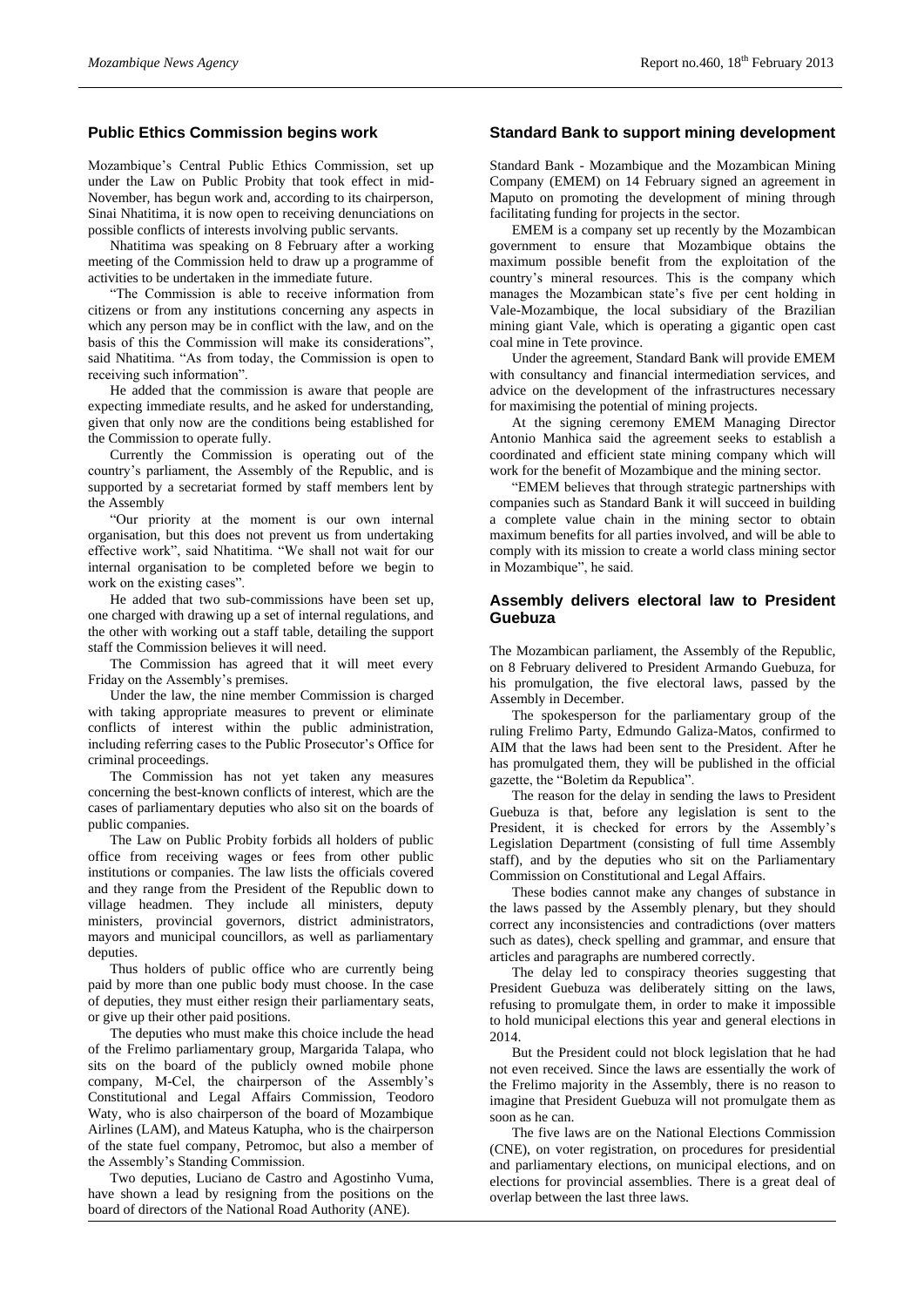# **Public Ethics Commission begins work**

Mozambique's Central Public Ethics Commission, set up under the Law on Public Probity that took effect in mid-November, has begun work and, according to its chairperson, Sinai Nhatitima, it is now open to receiving denunciations on possible conflicts of interests involving public servants.

Nhatitima was speaking on 8 February after a working meeting of the Commission held to draw up a programme of activities to be undertaken in the immediate future.

"The Commission is able to receive information from citizens or from any institutions concerning any aspects in which any person may be in conflict with the law, and on the basis of this the Commission will make its considerations", said Nhatitima. "As from today, the Commission is open to receiving such information".

He added that the commission is aware that people are expecting immediate results, and he asked for understanding, given that only now are the conditions being established for the Commission to operate fully.

Currently the Commission is operating out of the country's parliament, the Assembly of the Republic, and is supported by a secretariat formed by staff members lent by the Assembly

"Our priority at the moment is our own internal organisation, but this does not prevent us from undertaking effective work", said Nhatitima. "We shall not wait for our internal organisation to be completed before we begin to work on the existing cases".

He added that two sub-commissions have been set up, one charged with drawing up a set of internal regulations, and the other with working out a staff table, detailing the support staff the Commission believes it will need.

The Commission has agreed that it will meet every Friday on the Assembly's premises.

Under the law, the nine member Commission is charged with taking appropriate measures to prevent or eliminate conflicts of interest within the public administration, including referring cases to the Public Prosecutor's Office for criminal proceedings.

The Commission has not yet taken any measures concerning the best-known conflicts of interest, which are the cases of parliamentary deputies who also sit on the boards of public companies.

The Law on Public Probity forbids all holders of public office from receiving wages or fees from other public institutions or companies. The law lists the officials covered and they range from the President of the Republic down to village headmen. They include all ministers, deputy ministers, provincial governors, district administrators, mayors and municipal councillors, as well as parliamentary deputies.

Thus holders of public office who are currently being paid by more than one public body must choose. In the case of deputies, they must either resign their parliamentary seats, or give up their other paid positions.

The deputies who must make this choice include the head of the Frelimo parliamentary group, Margarida Talapa, who sits on the board of the publicly owned mobile phone company, M-Cel, the chairperson of the Assembly's Constitutional and Legal Affairs Commission, Teodoro Waty, who is also chairperson of the board of Mozambique Airlines (LAM), and Mateus Katupha, who is the chairperson of the state fuel company, Petromoc, but also a member of the Assembly's Standing Commission.

Two deputies, Luciano de Castro and Agostinho Vuma, have shown a lead by resigning from the positions on the board of directors of the National Road Authority (ANE).

#### **Standard Bank to support mining development**

Standard Bank - Mozambique and the Mozambican Mining Company (EMEM) on 14 February signed an agreement in Maputo on promoting the development of mining through facilitating funding for projects in the sector.

EMEM is a company set up recently by the Mozambican government to ensure that Mozambique obtains the maximum possible benefit from the exploitation of the country's mineral resources. This is the company which manages the Mozambican state's five per cent holding in Vale-Mozambique, the local subsidiary of the Brazilian mining giant Vale, which is operating a gigantic open cast coal mine in Tete province.

Under the agreement, Standard Bank will provide EMEM with consultancy and financial intermediation services, and advice on the development of the infrastructures necessary for maximising the potential of mining projects.

At the signing ceremony EMEM Managing Director Antonio Manhica said the agreement seeks to establish a coordinated and efficient state mining company which will work for the benefit of Mozambique and the mining sector.

"EMEM believes that through strategic partnerships with companies such as Standard Bank it will succeed in building a complete value chain in the mining sector to obtain maximum benefits for all parties involved, and will be able to comply with its mission to create a world class mining sector in Mozambique", he said.

# **Assembly delivers electoral law to President Guebuza**

The Mozambican parliament, the Assembly of the Republic, on 8 February delivered to President Armando Guebuza, for his promulgation, the five electoral laws, passed by the Assembly in December.

The spokesperson for the parliamentary group of the ruling Frelimo Party, Edmundo Galiza-Matos, confirmed to AIM that the laws had been sent to the President. After he has promulgated them, they will be published in the official gazette, the "Boletim da Republica".

The reason for the delay in sending the laws to President Guebuza is that, before any legislation is sent to the President, it is checked for errors by the Assembly's Legislation Department (consisting of full time Assembly staff), and by the deputies who sit on the Parliamentary Commission on Constitutional and Legal Affairs.

These bodies cannot make any changes of substance in the laws passed by the Assembly plenary, but they should correct any inconsistencies and contradictions (over matters such as dates), check spelling and grammar, and ensure that articles and paragraphs are numbered correctly.

The delay led to conspiracy theories suggesting that President Guebuza was deliberately sitting on the laws, refusing to promulgate them, in order to make it impossible to hold municipal elections this year and general elections in 2014.

But the President could not block legislation that he had not even received. Since the laws are essentially the work of the Frelimo majority in the Assembly, there is no reason to imagine that President Guebuza will not promulgate them as soon as he can.

The five laws are on the National Elections Commission (CNE), on voter registration, on procedures for presidential and parliamentary elections, on municipal elections, and on elections for provincial assemblies. There is a great deal of overlap between the last three laws.